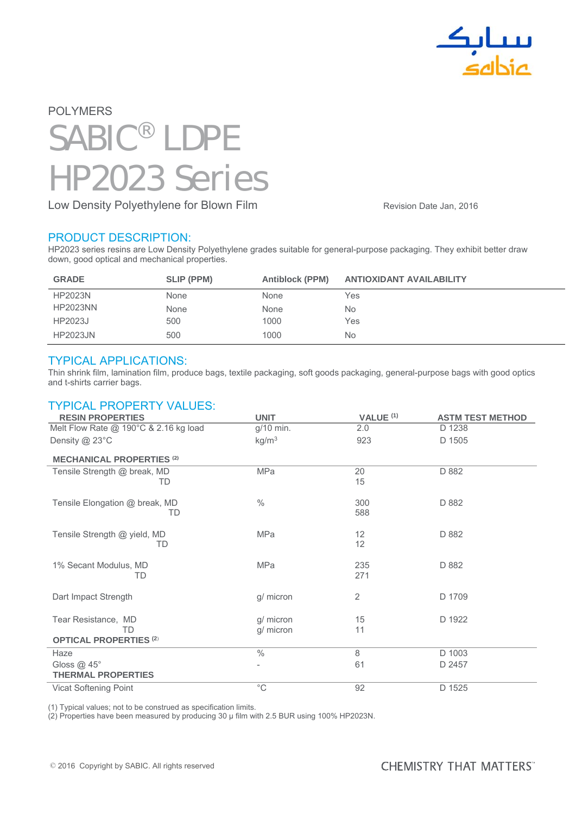

# POLYMERS SABIC® LDPE HP2023 Series

Low Density Polyethylene for Blown Film **Example 2016** Revision Date Jan, 2016

#### PRODUCT DESCRIPTION:

HP2023 series resins are Low Density Polyethylene grades suitable for general-purpose packaging. They exhibit better draw down, good optical and mechanical properties.

| <b>GRADE</b>    | SLIP (PPM) | <b>Antiblock (PPM)</b> | <b>ANTIOXIDANT AVAILABILITY</b> |
|-----------------|------------|------------------------|---------------------------------|
| <b>HP2023N</b>  | None       | None                   | Yes                             |
| <b>HP2023NN</b> | None       | None                   | N <sub>o</sub>                  |
| HP2023J         | 500        | 1000                   | Yes                             |
| <b>HP2023JN</b> | 500        | 1000                   | N <sub>o</sub>                  |

#### TYPICAL APPLICATIONS:

Thin shrink film, lamination film, produce bags, textile packaging, soft goods packaging, general-purpose bags with good optics and t-shirts carrier bags.

## TYPICAL PROPERTY VALUES:

| <b>RESIN PROPERTIES</b>                                    | <b>UNIT</b>            | VALUE <sup>(1)</sup> | <b>ASTM TEST METHOD</b> |
|------------------------------------------------------------|------------------------|----------------------|-------------------------|
| Melt Flow Rate @ 190°C & 2.16 kg load                      | g/10 min.              | 2.0                  | D 1238                  |
| Density $@$ 23 $°C$                                        | kg/m <sup>3</sup>      | 923                  | D 1505                  |
| <b>MECHANICAL PROPERTIES (2)</b>                           |                        |                      |                         |
| Tensile Strength @ break, MD<br>TD                         | MPa                    | 20<br>15             | D 882                   |
| Tensile Elongation @ break, MD<br>TD                       | $\frac{0}{0}$          | 300<br>588           | D 882                   |
| Tensile Strength @ yield, MD<br>TD                         | <b>MPa</b>             | 12<br>12             | D 882                   |
| 1% Secant Modulus, MD<br>TD                                | <b>MPa</b>             | 235<br>271           | D 882                   |
| Dart Impact Strength                                       | g/ micron              | 2                    | D 1709                  |
| Tear Resistance, MD<br>TD<br><b>OPTICAL PROPERTIES (2)</b> | g/ micron<br>g/ micron | 15<br>11             | D 1922                  |
| Haze                                                       | $\frac{0}{0}$          | 8                    | D 1003                  |
| Gloss $@$ 45 $^{\circ}$                                    | -                      | 61                   | D 2457                  |
| <b>THERMAL PROPERTIES</b>                                  |                        |                      |                         |
| Vicat Softening Point                                      | $^{\circ}C$            | 92                   | D 1525                  |

(1) Typical values; not to be construed as specification limits.

(2) Properties have been measured by producing 30 μ film with 2.5 BUR using 100% HP2023N.